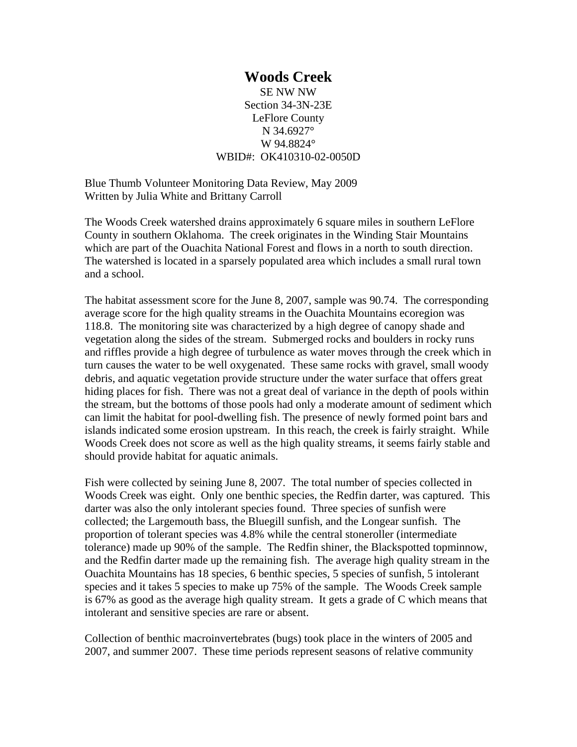**Woods Creek**  SE NW NW Section 34-3N-23E LeFlore County N 34.6927° W 94.8824° WBID#: OK410310-02-0050D

Blue Thumb Volunteer Monitoring Data Review, May 2009 Written by Julia White and Brittany Carroll

The Woods Creek watershed drains approximately 6 square miles in southern LeFlore County in southern Oklahoma. The creek originates in the Winding Stair Mountains which are part of the Ouachita National Forest and flows in a north to south direction. The watershed is located in a sparsely populated area which includes a small rural town and a school.

The habitat assessment score for the June 8, 2007, sample was 90.74. The corresponding average score for the high quality streams in the Ouachita Mountains ecoregion was 118.8. The monitoring site was characterized by a high degree of canopy shade and vegetation along the sides of the stream. Submerged rocks and boulders in rocky runs and riffles provide a high degree of turbulence as water moves through the creek which in turn causes the water to be well oxygenated. These same rocks with gravel, small woody debris, and aquatic vegetation provide structure under the water surface that offers great hiding places for fish. There was not a great deal of variance in the depth of pools within the stream, but the bottoms of those pools had only a moderate amount of sediment which can limit the habitat for pool-dwelling fish. The presence of newly formed point bars and islands indicated some erosion upstream. In this reach, the creek is fairly straight. While Woods Creek does not score as well as the high quality streams, it seems fairly stable and should provide habitat for aquatic animals.

Fish were collected by seining June 8, 2007. The total number of species collected in Woods Creek was eight. Only one benthic species, the Redfin darter, was captured. This darter was also the only intolerant species found. Three species of sunfish were collected; the Largemouth bass, the Bluegill sunfish, and the Longear sunfish. The proportion of tolerant species was 4.8% while the central stoneroller (intermediate tolerance) made up 90% of the sample. The Redfin shiner, the Blackspotted topminnow, and the Redfin darter made up the remaining fish. The average high quality stream in the Ouachita Mountains has 18 species, 6 benthic species, 5 species of sunfish, 5 intolerant species and it takes 5 species to make up 75% of the sample. The Woods Creek sample is 67% as good as the average high quality stream. It gets a grade of C which means that intolerant and sensitive species are rare or absent.

Collection of benthic macroinvertebrates (bugs) took place in the winters of 2005 and 2007, and summer 2007. These time periods represent seasons of relative community